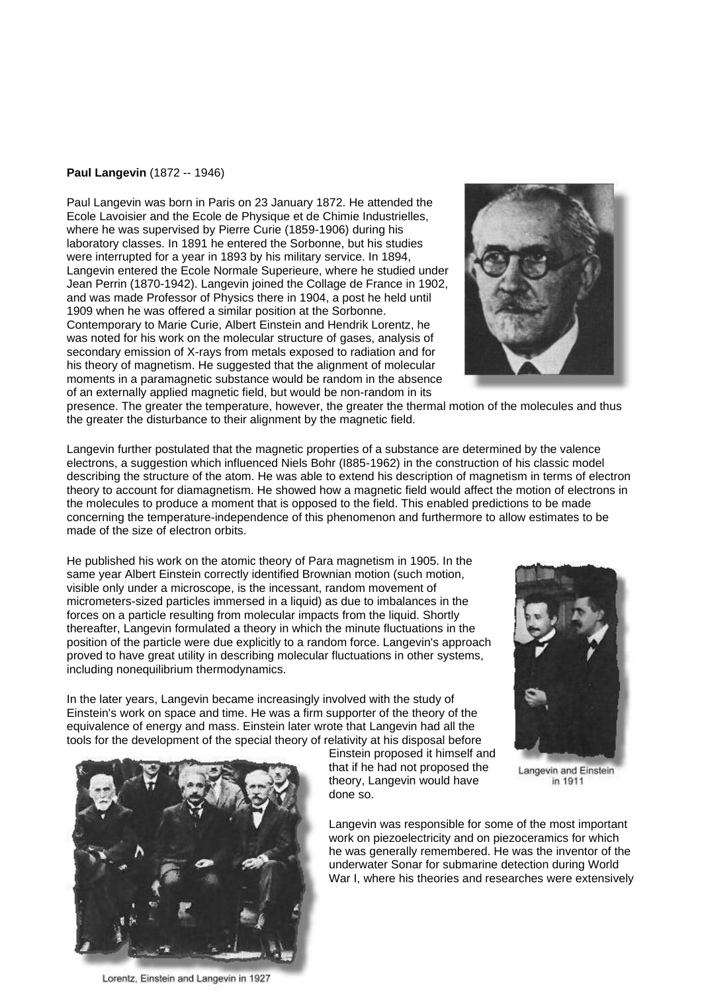## **Paul Langevin** (1872 -- 1946)

Paul Langevin was born in Paris on 23 January 1872. He attended the Ecole Lavoisier and the Ecole de Physique et de Chimie Industrielles, where he was supervised by Pierre Curie (1859-1906) during his laboratory classes. In 1891 he entered the Sorbonne, but his studies were interrupted for a year in 1893 by his military service. In 1894, Langevin entered the Ecole Normale Superieure, where he studied under Jean Perrin (1870-1942). Langevin joined the Collage de France in 1902, and was made Professor of Physics there in 1904, a post he held until 1909 when he was offered a similar position at the Sorbonne. Contemporary to Marie Curie, Albert Einstein and Hendrik Lorentz, he was noted for his work on the molecular structure of gases, analysis of secondary emission of X-rays from metals exposed to radiation and for his theory of magnetism. He suggested that the alignment of molecular moments in a paramagnetic substance would be random in the absence of an externally applied magnetic field, but would be non-random in its



presence. The greater the temperature, however, the greater the thermal motion of the molecules and thus the greater the disturbance to their alignment by the magnetic field.

Langevin further postulated that the magnetic properties of a substance are determined by the valence electrons, a suggestion which influenced Niels Bohr (I885-1962) in the construction of his classic model describing the structure of the atom. He was able to extend his description of magnetism in terms of electron theory to account for diamagnetism. He showed how a magnetic field would affect the motion of electrons in the molecules to produce a moment that is opposed to the field. This enabled predictions to be made concerning the temperature-independence of this phenomenon and furthermore to allow estimates to be made of the size of electron orbits.

He published his work on the atomic theory of Para magnetism in 1905. In the same year Albert Einstein correctly identified Brownian motion (such motion, visible only under a microscope, is the incessant, random movement of micrometers-sized particles immersed in a liquid) as due to imbalances in the forces on a particle resulting from molecular impacts from the liquid. Shortly thereafter, Langevin formulated a theory in which the minute fluctuations in the position of the particle were due explicitly to a random force. Langevin's approach proved to have great utility in describing molecular fluctuations in other systems, including nonequilibrium thermodynamics.

In the later years, Langevin became increasingly involved with the study of Einstein's work on space and time. He was a firm supporter of the theory of the equivalence of energy and mass. Einstein later wrote that Langevin had all the tools for the development of the special theory of relativity at his disposal before





Lorentz, Einstein and Langevin in 1927

Einstein proposed it himself and that if he had not proposed the theory, Langevin would have done so.

Langevin and Einstein in 1911

Langevin was responsible for some of the most important work on piezoelectricity and on piezoceramics for which he was generally remembered. He was the inventor of the underwater Sonar for submarine detection during World War I, where his theories and researches were extensively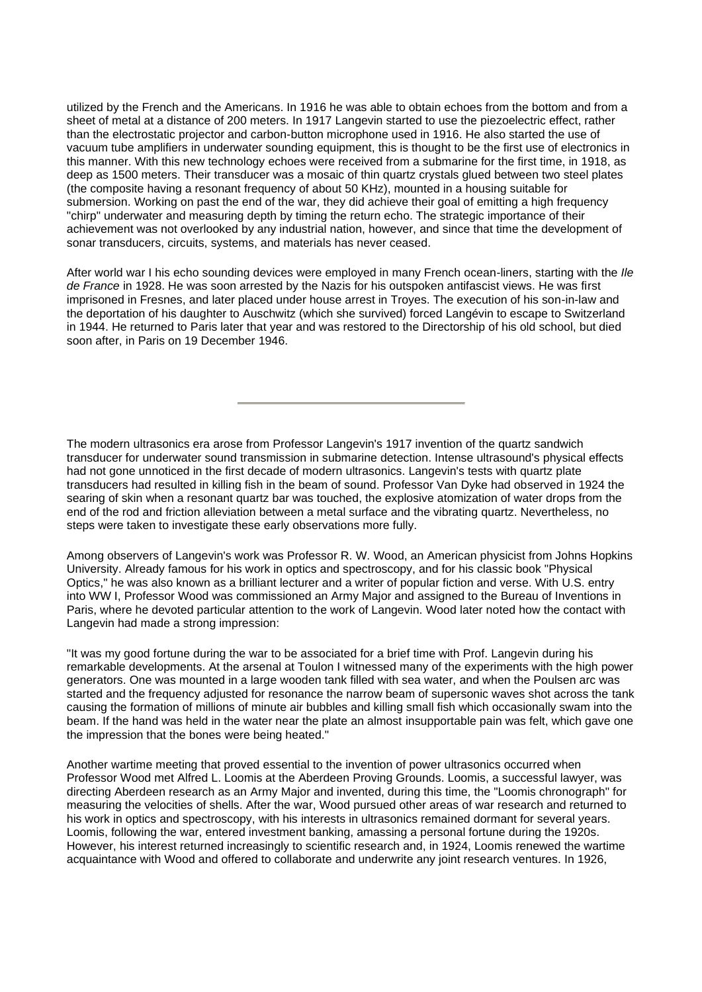utilized by the French and the Americans. In 1916 he was able to obtain echoes from the bottom and from a sheet of metal at a distance of 200 meters. In 1917 Langevin started to use the piezoelectric effect, rather than the electrostatic projector and carbon-button microphone used in 1916. He also started the use of vacuum tube amplifiers in underwater sounding equipment, this is thought to be the first use of electronics in this manner. With this new technology echoes were received from a submarine for the first time, in 1918, as deep as 1500 meters. Their transducer was a mosaic of thin quartz crystals glued between two steel plates (the composite having a resonant frequency of about 50 KHz), mounted in a housing suitable for submersion. Working on past the end of the war, they did achieve their goal of emitting a high frequency "chirp" underwater and measuring depth by timing the return echo. The strategic importance of their achievement was not overlooked by any industrial nation, however, and since that time the development of sonar transducers, circuits, systems, and materials has never ceased.

After world war I his echo sounding devices were employed in many French ocean-liners, starting with the *Ile de France* in 1928. He was soon arrested by the Nazis for his outspoken antifascist views. He was first imprisoned in Fresnes, and later placed under house arrest in Troyes. The execution of his son-in-law and the deportation of his daughter to Auschwitz (which she survived) forced Langévin to escape to Switzerland in 1944. He returned to Paris later that year and was restored to the Directorship of his old school, but died soon after, in Paris on 19 December 1946.

The modern ultrasonics era arose from Professor Langevin's 1917 invention of the quartz sandwich transducer for underwater sound transmission in submarine detection. Intense ultrasound's physical effects had not gone unnoticed in the first decade of modern ultrasonics. Langevin's tests with quartz plate transducers had resulted in killing fish in the beam of sound. Professor Van Dyke had observed in 1924 the searing of skin when a resonant quartz bar was touched, the explosive atomization of water drops from the end of the rod and friction alleviation between a metal surface and the vibrating quartz. Nevertheless, no steps were taken to investigate these early observations more fully.

Among observers of Langevin's work was Professor R. W. Wood, an American physicist from Johns Hopkins University. Already famous for his work in optics and spectroscopy, and for his classic book "Physical Optics," he was also known as a brilliant lecturer and a writer of popular fiction and verse. With U.S. entry into WW I, Professor Wood was commissioned an Army Major and assigned to the Bureau of Inventions in Paris, where he devoted particular attention to the work of Langevin. Wood later noted how the contact with Langevin had made a strong impression:

"It was my good fortune during the war to be associated for a brief time with Prof. Langevin during his remarkable developments. At the arsenal at Toulon I witnessed many of the experiments with the high power generators. One was mounted in a large wooden tank filled with sea water, and when the Poulsen arc was started and the frequency adjusted for resonance the narrow beam of supersonic waves shot across the tank causing the formation of millions of minute air bubbles and killing small fish which occasionally swam into the beam. If the hand was held in the water near the plate an almost insupportable pain was felt, which gave one the impression that the bones were being heated."

Another wartime meeting that proved essential to the invention of power ultrasonics occurred when Professor Wood met Alfred L. Loomis at the Aberdeen Proving Grounds. Loomis, a successful lawyer, was directing Aberdeen research as an Army Major and invented, during this time, the "Loomis chronograph" for measuring the velocities of shells. After the war, Wood pursued other areas of war research and returned to his work in optics and spectroscopy, with his interests in ultrasonics remained dormant for several years. Loomis, following the war, entered investment banking, amassing a personal fortune during the 1920s. However, his interest returned increasingly to scientific research and, in 1924, Loomis renewed the wartime acquaintance with Wood and offered to collaborate and underwrite any joint research ventures. In 1926,